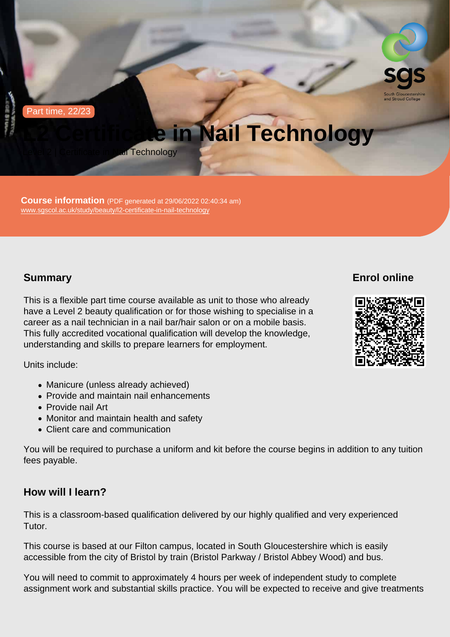Part time, 22/23

# L2 Certificate in Nail Technology

Level 2 | Certificate in Nail Technology

Course information (PDF generated at 29/06/2022 02:40:34 am) [www.sgscol.ac.uk/study/beauty/l2-certificate-in-nail-technology](https://www.sgscol.ac.uk/study/beauty/l2-certificate-in-nail-technology)

## **Summary**

Enrol online

This is a flexible part time course available as unit to those who already have a Level 2 beauty qualification or for those wishing to specialise in a career as a nail technician in a nail bar/hair salon or on a mobile basis. This fully accredited vocational qualification will develop the knowledge, understanding and skills to prepare learners for employment.

Units include:

- Manicure (unless already achieved)
- Provide and maintain nail enhancements
- Provide nail Art
- Monitor and maintain health and safety
- Client care and communication

You will be required to purchase a uniform and kit before the course begins in addition to any tuition fees payable.

How will I learn?

This is a classroom-based qualification delivered by our highly qualified and very experienced Tutor.

This course is based at our Filton campus, located in South Gloucestershire which is easily accessible from the city of Bristol by train (Bristol Parkway / Bristol Abbey Wood) and bus.

You will need to commit to approximately 4 hours per week of independent study to complete assignment work and substantial skills practice. You will be expected to receive and give treatments